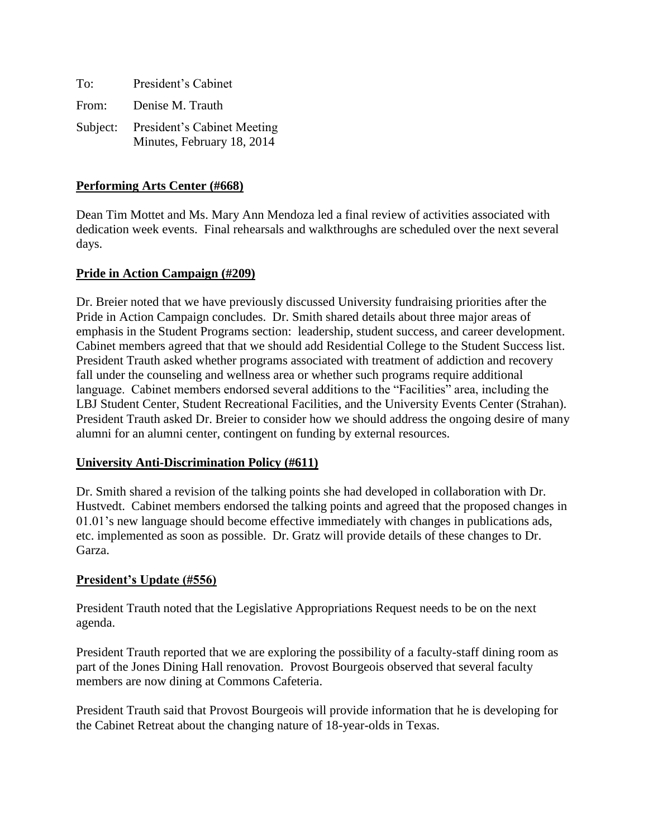| To:   | President's Cabinet                                                |
|-------|--------------------------------------------------------------------|
| From: | Denise M. Trauth                                                   |
|       | Subject: President's Cabinet Meeting<br>Minutes, February 18, 2014 |

## **Performing Arts Center (#668)**

Dean Tim Mottet and Ms. Mary Ann Mendoza led a final review of activities associated with dedication week events. Final rehearsals and walkthroughs are scheduled over the next several days.

### **Pride in Action Campaign (#209)**

Dr. Breier noted that we have previously discussed University fundraising priorities after the Pride in Action Campaign concludes. Dr. Smith shared details about three major areas of emphasis in the Student Programs section: leadership, student success, and career development. Cabinet members agreed that that we should add Residential College to the Student Success list. President Trauth asked whether programs associated with treatment of addiction and recovery fall under the counseling and wellness area or whether such programs require additional language. Cabinet members endorsed several additions to the "Facilities" area, including the LBJ Student Center, Student Recreational Facilities, and the University Events Center (Strahan). President Trauth asked Dr. Breier to consider how we should address the ongoing desire of many alumni for an alumni center, contingent on funding by external resources.

#### **University Anti-Discrimination Policy (#611)**

Dr. Smith shared a revision of the talking points she had developed in collaboration with Dr. Hustvedt. Cabinet members endorsed the talking points and agreed that the proposed changes in 01.01's new language should become effective immediately with changes in publications ads, etc. implemented as soon as possible. Dr. Gratz will provide details of these changes to Dr. Garza.

# **President's Update (#556)**

President Trauth noted that the Legislative Appropriations Request needs to be on the next agenda.

President Trauth reported that we are exploring the possibility of a faculty-staff dining room as part of the Jones Dining Hall renovation. Provost Bourgeois observed that several faculty members are now dining at Commons Cafeteria.

President Trauth said that Provost Bourgeois will provide information that he is developing for the Cabinet Retreat about the changing nature of 18-year-olds in Texas.